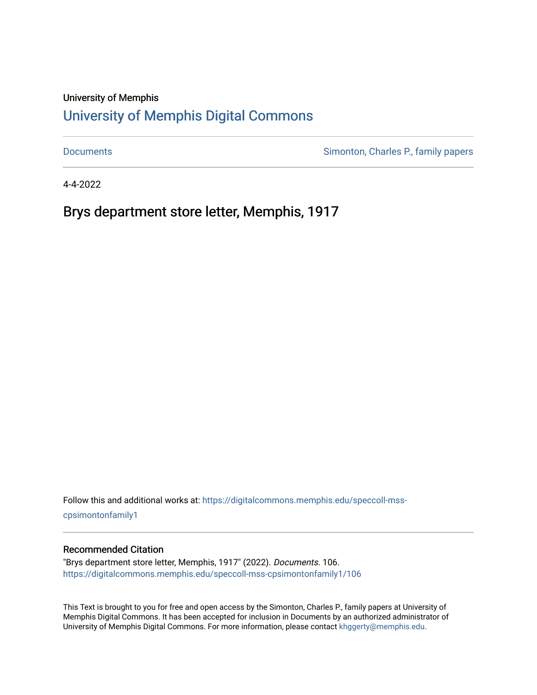## University of Memphis

## [University of Memphis Digital Commons](https://digitalcommons.memphis.edu/)

[Documents](https://digitalcommons.memphis.edu/speccoll-mss-cpsimontonfamily1) **Simonton, Charles P., family papers** 

4-4-2022

Brys department store letter, Memphis, 1917

Follow this and additional works at: [https://digitalcommons.memphis.edu/speccoll-mss](https://digitalcommons.memphis.edu/speccoll-mss-cpsimontonfamily1?utm_source=digitalcommons.memphis.edu%2Fspeccoll-mss-cpsimontonfamily1%2F106&utm_medium=PDF&utm_campaign=PDFCoverPages)[cpsimontonfamily1](https://digitalcommons.memphis.edu/speccoll-mss-cpsimontonfamily1?utm_source=digitalcommons.memphis.edu%2Fspeccoll-mss-cpsimontonfamily1%2F106&utm_medium=PDF&utm_campaign=PDFCoverPages) 

## Recommended Citation

"Brys department store letter, Memphis, 1917" (2022). Documents. 106. [https://digitalcommons.memphis.edu/speccoll-mss-cpsimontonfamily1/106](https://digitalcommons.memphis.edu/speccoll-mss-cpsimontonfamily1/106?utm_source=digitalcommons.memphis.edu%2Fspeccoll-mss-cpsimontonfamily1%2F106&utm_medium=PDF&utm_campaign=PDFCoverPages)

This Text is brought to you for free and open access by the Simonton, Charles P., family papers at University of Memphis Digital Commons. It has been accepted for inclusion in Documents by an authorized administrator of University of Memphis Digital Commons. For more information, please contact [khggerty@memphis.edu](mailto:khggerty@memphis.edu).